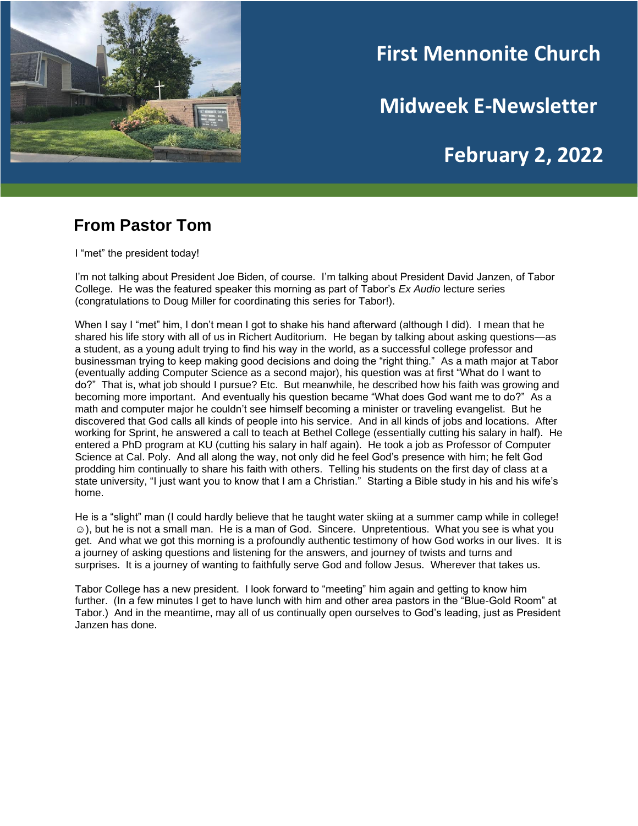

# **First Mennonite Church**

**Midweek E-Newsletter**

## **February 2, 2022**

#### **From Pastor Tom**

I "met" the president today!

I'm not talking about President Joe Biden, of course. I'm talking about President David Janzen, of Tabor College. He was the featured speaker this morning as part of Tabor's *Ex Audio* lecture series (congratulations to Doug Miller for coordinating this series for Tabor!).

When I say I "met" him, I don't mean I got to shake his hand afterward (although I did). I mean that he shared his life story with all of us in Richert Auditorium. He began by talking about asking questions—as a student, as a young adult trying to find his way in the world, as a successful college professor and businessman trying to keep making good decisions and doing the "right thing." As a math major at Tabor (eventually adding Computer Science as a second major), his question was at first "What do I want to do?" That is, what job should I pursue? Etc. But meanwhile, he described how his faith was growing and becoming more important. And eventually his question became "What does God want me to do?" As a math and computer major he couldn't see himself becoming a minister or traveling evangelist. But he discovered that God calls all kinds of people into his service. And in all kinds of jobs and locations. After working for Sprint, he answered a call to teach at Bethel College (essentially cutting his salary in half). He entered a PhD program at KU (cutting his salary in half again). He took a job as Professor of Computer Science at Cal. Poly. And all along the way, not only did he feel God's presence with him; he felt God prodding him continually to share his faith with others. Telling his students on the first day of class at a state university, "I just want you to know that I am a Christian." Starting a Bible study in his and his wife's home.

He is a "slight" man (I could hardly believe that he taught water skiing at a summer camp while in college! ☺), but he is not a small man. He is a man of God. Sincere. Unpretentious. What you see is what you get. And what we got this morning is a profoundly authentic testimony of how God works in our lives. It is a journey of asking questions and listening for the answers, and journey of twists and turns and surprises. It is a journey of wanting to faithfully serve God and follow Jesus. Wherever that takes us.

Tabor College has a new president. I look forward to "meeting" him again and getting to know him further. (In a few minutes I get to have lunch with him and other area pastors in the "Blue-Gold Room" at Tabor.) And in the meantime, may all of us continually open ourselves to God's leading, just as President Janzen has done.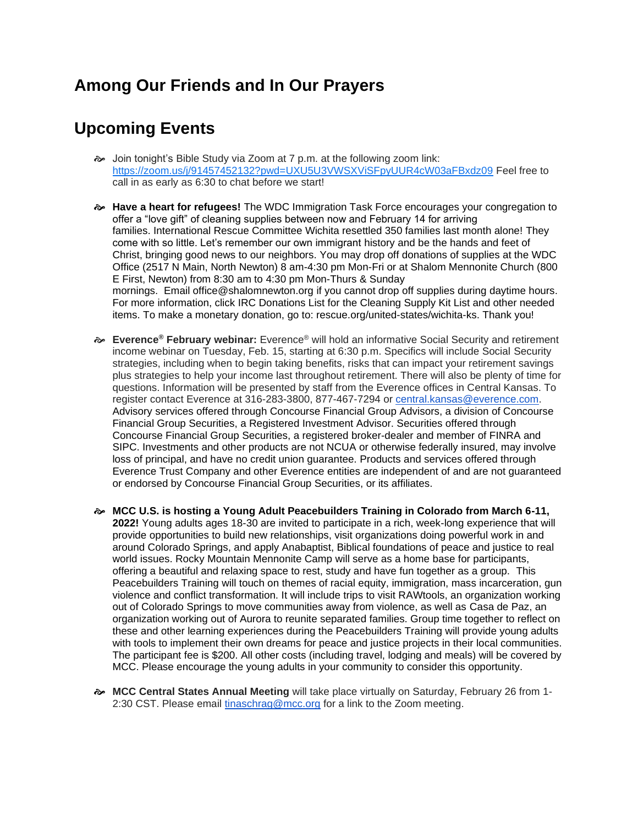### **Among Our Friends and In Our Prayers**

#### **Upcoming Events**

- Join tonight's Bible Study via Zoom at 7 p.m. at the following zoom link: <https://zoom.us/j/91457452132?pwd=UXU5U3VWSXViSFpyUUR4cW03aFBxdz09> Feel free to call in as early as 6:30 to chat before we start!
- **Have a heart for refugees!** The WDC Immigration Task Force encourages your congregation to offer a "love gift" of cleaning supplies between now and February 14 for arriving families. International Rescue Committee Wichita resettled 350 families last month alone! They come with so little. Let's remember our own immigrant history and be the hands and feet of Christ, bringing good news to our neighbors. You may drop off donations of supplies at the WDC Office (2517 N Main, North Newton) 8 am-4:30 pm Mon-Fri or at Shalom Mennonite Church (800 E First, Newton) from 8:30 am to 4:30 pm Mon-Thurs & Sunday mornings. Email office@shalomnewton.org if you cannot drop off supplies during daytime hours. For more information, click IRC Donations List for the Cleaning Supply Kit List and other needed items. To make a monetary donation, go to: rescue.org/united-states/wichita-ks. Thank you!
- **Everence® February webinar:** Everence® will hold an informative Social Security and retirement income webinar on Tuesday, Feb. 15, starting at 6:30 p.m. Specifics will include Social Security strategies, including when to begin taking benefits, risks that can impact your retirement savings plus strategies to help your income last throughout retirement. There will also be plenty of time for questions. Information will be presented by staff from the Everence offices in Central Kansas. To register contact Everence at 316-283-3800, 877-467-7294 or [central.kansas@everence.com.](mailto:central.kansas@everence.com) Advisory services offered through Concourse Financial Group Advisors, a division of Concourse Financial Group Securities, a Registered Investment Advisor. Securities offered through Concourse Financial Group Securities, a registered broker-dealer and member of FINRA and SIPC. Investments and other products are not NCUA or otherwise federally insured, may involve loss of principal, and have no credit union guarantee. Products and services offered through Everence Trust Company and other Everence entities are independent of and are not guaranteed or endorsed by Concourse Financial Group Securities, or its affiliates.
- **MCC U.S. is hosting a Young Adult Peacebuilders Training in Colorado from March 6-11, 2022!** Young adults ages 18-30 are invited to participate in a rich, week-long experience that will provide opportunities to build new relationships, visit organizations doing powerful work in and around Colorado Springs, and apply Anabaptist, Biblical foundations of peace and justice to real world issues. Rocky Mountain Mennonite Camp will serve as a home base for participants, offering a beautiful and relaxing space to rest, study and have fun together as a group. This Peacebuilders Training will touch on themes of racial equity, immigration, mass incarceration, gun violence and conflict transformation. It will include trips to visit RAWtools, an organization working out of Colorado Springs to move communities away from violence, as well as Casa de Paz, an organization working out of Aurora to reunite separated families. Group time together to reflect on these and other learning experiences during the Peacebuilders Training will provide young adults with tools to implement their own dreams for peace and justice projects in their local communities. The participant fee is \$200. All other costs (including travel, lodging and meals) will be covered by MCC. Please encourage the young adults in your community to consider this opportunity.
- **MCC Central States Annual Meeting** will take place virtually on Saturday, February 26 from 1 2:30 CST. Please email [tinaschrag@mcc.org](mailto:tinaschrag@mcc.org) for a link to the Zoom meeting.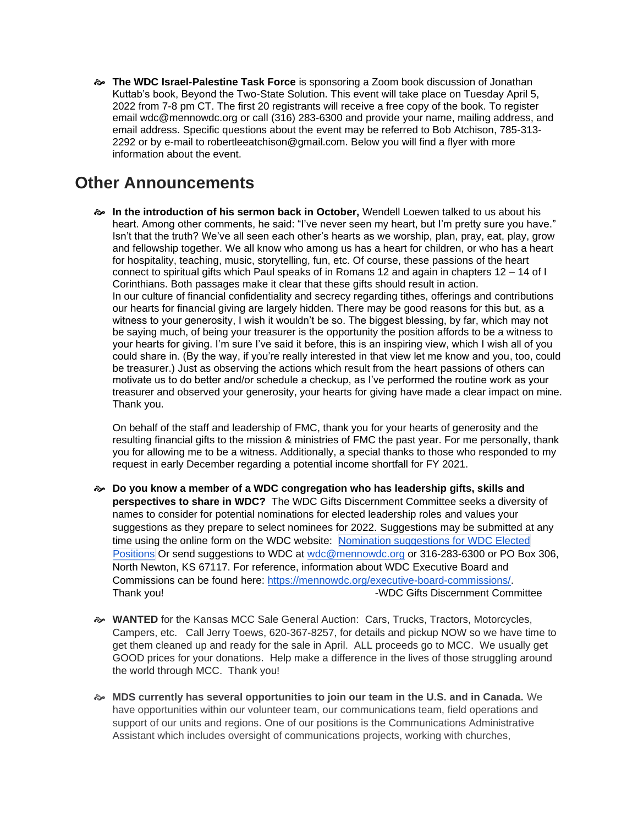**The WDC Israel-Palestine Task Force** is sponsoring a Zoom book discussion of Jonathan Kuttab's book, Beyond the Two-State Solution. This event will take place on Tuesday April 5, 2022 from 7-8 pm CT. The first 20 registrants will receive a free copy of the book. To register email wdc@mennowdc.org or call (316) 283-6300 and provide your name, mailing address, and email address. Specific questions about the event may be referred to Bob Atchison, 785-313- 2292 or by e-mail to robertleeatchison@gmail.com. Below you will find a flyer with more information about the event.

#### **Other Announcements**

 **In the introduction of his sermon back in October,** Wendell Loewen talked to us about his heart. Among other comments, he said: "I've never seen my heart, but I'm pretty sure you have." Isn't that the truth? We've all seen each other's hearts as we worship, plan, pray, eat, play, grow and fellowship together. We all know who among us has a heart for children, or who has a heart for hospitality, teaching, music, storytelling, fun, etc. Of course, these passions of the heart connect to spiritual gifts which Paul speaks of in Romans 12 and again in chapters 12 – 14 of I Corinthians. Both passages make it clear that these gifts should result in action. In our culture of financial confidentiality and secrecy regarding tithes, offerings and contributions our hearts for financial giving are largely hidden. There may be good reasons for this but, as a witness to your generosity, I wish it wouldn't be so. The biggest blessing, by far, which may not be saying much, of being your treasurer is the opportunity the position affords to be a witness to your hearts for giving. I'm sure I've said it before, this is an inspiring view, which I wish all of you could share in. (By the way, if you're really interested in that view let me know and you, too, could be treasurer.) Just as observing the actions which result from the heart passions of others can motivate us to do better and/or schedule a checkup, as I've performed the routine work as your treasurer and observed your generosity, your hearts for giving have made a clear impact on mine. Thank you.

On behalf of the staff and leadership of FMC, thank you for your hearts of generosity and the resulting financial gifts to the mission & ministries of FMC the past year. For me personally, thank you for allowing me to be a witness. Additionally, a special thanks to those who responded to my request in early December regarding a potential income shortfall for FY 2021.

- **Do you know a member of a WDC congregation who has leadership gifts, skills and perspectives to share in WDC?** The WDC Gifts Discernment Committee seeks a diversity of names to consider for potential nominations for elected leadership roles and values your suggestions as they prepare to select nominees for 2022. Suggestions may be submitted at any time using the online form on the WDC website: Nomination [suggestions](https://forms.gle/1bqLS1wtswNtqQBe6) for WDC Elected [Positions](https://forms.gle/1bqLS1wtswNtqQBe6) Or send suggestions to WDC at [wdc@mennowdc.org](mailto:wdc@mennowdc.org) or 316-283-6300 or PO Box 306, North Newton, KS 67117. For reference, information about WDC Executive Board and Commissions can be found here: [https://mennowdc.org/executive-board-commissions/.](https://mennowdc.org/executive-board-commissions/) Thank you! Thank you! Thank you!
- **WANTED** for the Kansas MCC Sale General Auction: Cars, Trucks, Tractors, Motorcycles, Campers, etc. Call Jerry Toews, 620-367-8257, for details and pickup NOW so we have time to get them cleaned up and ready for the sale in April. ALL proceeds go to MCC. We usually get GOOD prices for your donations. Help make a difference in the lives of those struggling around the world through MCC. Thank you!
- **MDS currently has several opportunities to join our team in the U.S. and in Canada.** We have opportunities within our volunteer team, our communications team, field operations and support of our units and regions. One of our positions is the Communications Administrative Assistant which includes oversight of communications projects, working with churches,